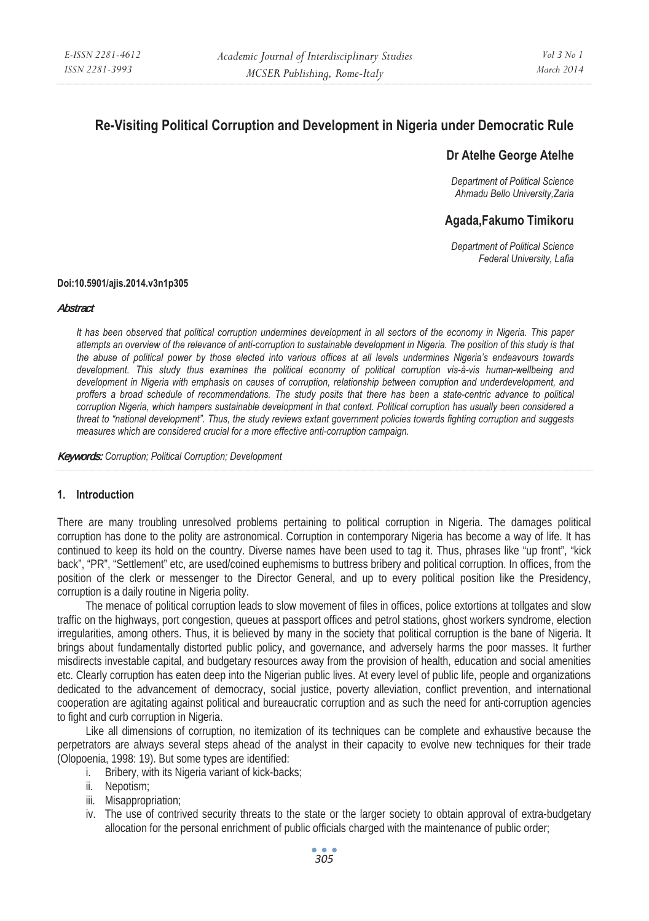# **Re-Visiting Political Corruption and Development in Nigeria under Democratic Rule**

## **Dr Atelhe George Atelhe**

*Department of Political Science Ahmadu Bello University,Zaria* 

## **Agada,Fakumo Timikoru**

*Department of Political Science Federal University, Lafia* 

#### **Doi:10.5901/ajis.2014.v3n1p305**

#### **Abstract**

*It has been observed that political corruption undermines development in all sectors of the economy in Nigeria. This paper attempts an overview of the relevance of anti-corruption to sustainable development in Nigeria. The position of this study is that the abuse of political power by those elected into various offices at all levels undermines Nigeria's endeavours towards development. This study thus examines the political economy of political corruption vis-à-vis human-wellbeing and development in Nigeria with emphasis on causes of corruption, relationship between corruption and underdevelopment, and proffers a broad schedule of recommendations. The study posits that there has been a state-centric advance to political corruption Nigeria, which hampers sustainable development in that context. Political corruption has usually been considered a threat to "national development". Thus, the study reviews extant government policies towards fighting corruption and suggests measures which are considered crucial for a more effective anti-corruption campaign.* 

Keywords: *Corruption; Political Corruption; Development* 

#### **1. Introduction**

There are many troubling unresolved problems pertaining to political corruption in Nigeria. The damages political corruption has done to the polity are astronomical. Corruption in contemporary Nigeria has become a way of life. It has continued to keep its hold on the country. Diverse names have been used to tag it. Thus, phrases like "up front", "kick back", "PR", "Settlement" etc, are used/coined euphemisms to buttress bribery and political corruption. In offices, from the position of the clerk or messenger to the Director General, and up to every political position like the Presidency, corruption is a daily routine in Nigeria polity.

The menace of political corruption leads to slow movement of files in offices, police extortions at tollgates and slow traffic on the highways, port congestion, queues at passport offices and petrol stations, ghost workers syndrome, election irregularities, among others. Thus, it is believed by many in the society that political corruption is the bane of Nigeria. It brings about fundamentally distorted public policy, and governance, and adversely harms the poor masses. It further misdirects investable capital, and budgetary resources away from the provision of health, education and social amenities etc. Clearly corruption has eaten deep into the Nigerian public lives. At every level of public life, people and organizations dedicated to the advancement of democracy, social justice, poverty alleviation, conflict prevention, and international cooperation are agitating against political and bureaucratic corruption and as such the need for anti-corruption agencies to fight and curb corruption in Nigeria.

Like all dimensions of corruption, no itemization of its techniques can be complete and exhaustive because the perpetrators are always several steps ahead of the analyst in their capacity to evolve new techniques for their trade (Olopoenia, 1998: 19). But some types are identified:

- i. Bribery, with its Nigeria variant of kick-backs;
- ii. Nepotism;
- iii. Misappropriation;
- iv. The use of contrived security threats to the state or the larger society to obtain approval of extra-budgetary allocation for the personal enrichment of public officials charged with the maintenance of public order;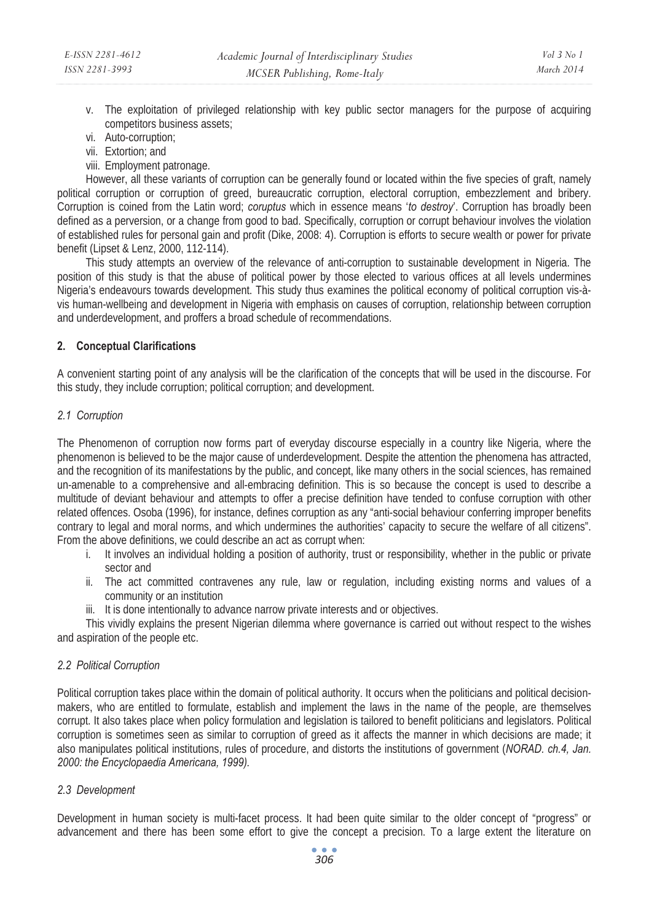- v. The exploitation of privileged relationship with key public sector managers for the purpose of acquiring competitors business assets;
- vi. Auto-corruption;
- vii. Extortion; and
- viii. Employment patronage.

However, all these variants of corruption can be generally found or located within the five species of graft, namely political corruption or corruption of greed, bureaucratic corruption, electoral corruption, embezzlement and bribery. Corruption is coined from the Latin word; *coruptus* which in essence means '*to destroy*'. Corruption has broadly been defined as a perversion, or a change from good to bad. Specifically, corruption or corrupt behaviour involves the violation of established rules for personal gain and profit (Dike, 2008: 4). Corruption is efforts to secure wealth or power for private benefit (Lipset & Lenz, 2000, 112-114).

This study attempts an overview of the relevance of anti-corruption to sustainable development in Nigeria. The position of this study is that the abuse of political power by those elected to various offices at all levels undermines Nigeria's endeavours towards development. This study thus examines the political economy of political corruption vis-àvis human-wellbeing and development in Nigeria with emphasis on causes of corruption, relationship between corruption and underdevelopment, and proffers a broad schedule of recommendations.

## **2. Conceptual Clarifications**

A convenient starting point of any analysis will be the clarification of the concepts that will be used in the discourse. For this study, they include corruption; political corruption; and development.

## *2.1 Corruption*

The Phenomenon of corruption now forms part of everyday discourse especially in a country like Nigeria, where the phenomenon is believed to be the major cause of underdevelopment. Despite the attention the phenomena has attracted, and the recognition of its manifestations by the public, and concept, like many others in the social sciences, has remained un-amenable to a comprehensive and all-embracing definition. This is so because the concept is used to describe a multitude of deviant behaviour and attempts to offer a precise definition have tended to confuse corruption with other related offences. Osoba (1996), for instance, defines corruption as any "anti-social behaviour conferring improper benefits contrary to legal and moral norms, and which undermines the authorities' capacity to secure the welfare of all citizens". From the above definitions, we could describe an act as corrupt when:

- i. It involves an individual holding a position of authority, trust or responsibility, whether in the public or private sector and
- ii. The act committed contravenes any rule, law or regulation, including existing norms and values of a community or an institution
- iii. It is done intentionally to advance narrow private interests and or objectives.

This vividly explains the present Nigerian dilemma where governance is carried out without respect to the wishes and aspiration of the people etc.

#### *2.2 Political Corruption*

Political corruption takes place within the domain of political authority. It occurs when the politicians and political decisionmakers, who are entitled to formulate, establish and implement the laws in the name of the people, are themselves corrupt. It also takes place when policy formulation and legislation is tailored to benefit politicians and legislators. Political corruption is sometimes seen as similar to corruption of greed as it affects the manner in which decisions are made; it also manipulates political institutions, rules of procedure, and distorts the institutions of government (*NORAD. ch.4, Jan. 2000: the Encyclopaedia Americana, 1999).*

## *2.3 Development*

Development in human society is multi-facet process. It had been quite similar to the older concept of "progress" or advancement and there has been some effort to give the concept a precision. To a large extent the literature on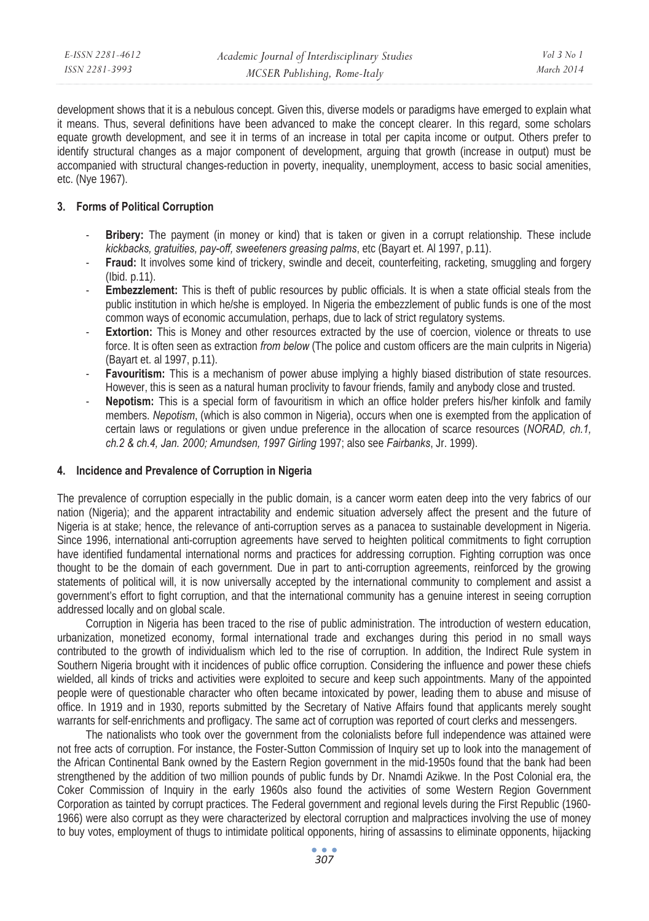| E-ISSN 2281-4612 | Academic Journal of Interdisciplinary Studies | Vol 3 No 1 |
|------------------|-----------------------------------------------|------------|
| ISSN 2281-3993   | MCSER Publishing, Rome-Italy                  | March 2014 |

development shows that it is a nebulous concept. Given this, diverse models or paradigms have emerged to explain what it means. Thus, several definitions have been advanced to make the concept clearer. In this regard, some scholars equate growth development, and see it in terms of an increase in total per capita income or output. Others prefer to identify structural changes as a major component of development, arguing that growth (increase in output) must be accompanied with structural changes-reduction in poverty, inequality, unemployment, access to basic social amenities, etc. (Nye 1967).

#### **3. Forms of Political Corruption**

- **Bribery:** The payment (in money or kind) that is taken or given in a corrupt relationship. These include *kickbacks, gratuities, pay-off, sweeteners greasing palms*, etc (Bayart et. Al 1997, p.11).
- **Fraud:** It involves some kind of trickery, swindle and deceit, counterfeiting, racketing, smuggling and forgery (Ibid. p.11).
- **Embezzlement:** This is theft of public resources by public officials. It is when a state official steals from the public institution in which he/she is employed. In Nigeria the embezzlement of public funds is one of the most common ways of economic accumulation, perhaps, due to lack of strict regulatory systems.
- **Extortion:** This is Money and other resources extracted by the use of coercion, violence or threats to use force. It is often seen as extraction *from below* (The police and custom officers are the main culprits in Nigeria) (Bayart et. al 1997, p.11).
- **Favouritism:** This is a mechanism of power abuse implying a highly biased distribution of state resources. However, this is seen as a natural human proclivity to favour friends, family and anybody close and trusted.
- **Nepotism:** This is a special form of favouritism in which an office holder prefers his/her kinfolk and family members. *Nepotism*, (which is also common in Nigeria), occurs when one is exempted from the application of certain laws or regulations or given undue preference in the allocation of scarce resources (*NORAD, ch.1, ch.2 & ch.4, Jan. 2000; Amundsen, 1997 Girling* 1997; also see *Fairbanks*, Jr. 1999).

#### **4. Incidence and Prevalence of Corruption in Nigeria**

The prevalence of corruption especially in the public domain, is a cancer worm eaten deep into the very fabrics of our nation (Nigeria); and the apparent intractability and endemic situation adversely affect the present and the future of Nigeria is at stake; hence, the relevance of anti-corruption serves as a panacea to sustainable development in Nigeria. Since 1996, international anti-corruption agreements have served to heighten political commitments to fight corruption have identified fundamental international norms and practices for addressing corruption. Fighting corruption was once thought to be the domain of each government. Due in part to anti-corruption agreements, reinforced by the growing statements of political will, it is now universally accepted by the international community to complement and assist a government's effort to fight corruption, and that the international community has a genuine interest in seeing corruption addressed locally and on global scale.

Corruption in Nigeria has been traced to the rise of public administration. The introduction of western education, urbanization, monetized economy, formal international trade and exchanges during this period in no small ways contributed to the growth of individualism which led to the rise of corruption. In addition, the Indirect Rule system in Southern Nigeria brought with it incidences of public office corruption. Considering the influence and power these chiefs wielded, all kinds of tricks and activities were exploited to secure and keep such appointments. Many of the appointed people were of questionable character who often became intoxicated by power, leading them to abuse and misuse of office. In 1919 and in 1930, reports submitted by the Secretary of Native Affairs found that applicants merely sought warrants for self-enrichments and profligacy. The same act of corruption was reported of court clerks and messengers.

The nationalists who took over the government from the colonialists before full independence was attained were not free acts of corruption. For instance, the Foster-Sutton Commission of Inquiry set up to look into the management of the African Continental Bank owned by the Eastern Region government in the mid-1950s found that the bank had been strengthened by the addition of two million pounds of public funds by Dr. Nnamdi Azikwe. In the Post Colonial era, the Coker Commission of Inquiry in the early 1960s also found the activities of some Western Region Government Corporation as tainted by corrupt practices. The Federal government and regional levels during the First Republic (1960- 1966) were also corrupt as they were characterized by electoral corruption and malpractices involving the use of money to buy votes, employment of thugs to intimidate political opponents, hiring of assassins to eliminate opponents, hijacking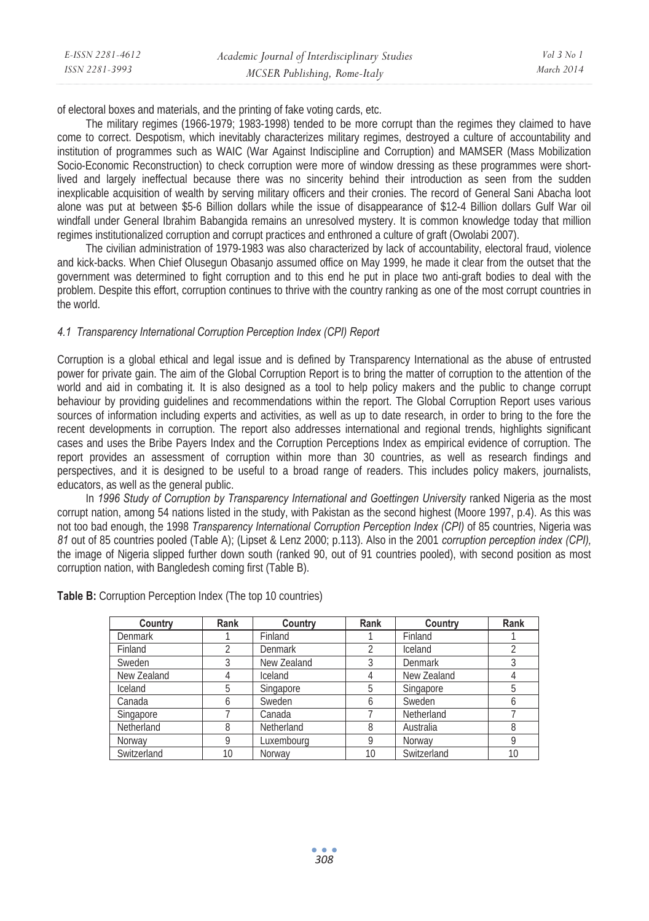| E-ISSN 2281-4612 | Academic Journal of Interdisciplinary Studies | $Vol_3$ No 1 |
|------------------|-----------------------------------------------|--------------|
| ISSN 2281-3993   | MCSER Publishing, Rome-Italy                  | March 2014   |

of electoral boxes and materials, and the printing of fake voting cards, etc.

The military regimes (1966-1979; 1983-1998) tended to be more corrupt than the regimes they claimed to have come to correct. Despotism, which inevitably characterizes military regimes, destroyed a culture of accountability and institution of programmes such as WAIC (War Against Indiscipline and Corruption) and MAMSER (Mass Mobilization Socio-Economic Reconstruction) to check corruption were more of window dressing as these programmes were shortlived and largely ineffectual because there was no sincerity behind their introduction as seen from the sudden inexplicable acquisition of wealth by serving military officers and their cronies. The record of General Sani Abacha loot alone was put at between \$5-6 Billion dollars while the issue of disappearance of \$12-4 Billion dollars Gulf War oil windfall under General Ibrahim Babangida remains an unresolved mystery. It is common knowledge today that million regimes institutionalized corruption and corrupt practices and enthroned a culture of graft (Owolabi 2007).

The civilian administration of 1979-1983 was also characterized by lack of accountability, electoral fraud, violence and kick-backs. When Chief Olusegun Obasanjo assumed office on May 1999, he made it clear from the outset that the government was determined to fight corruption and to this end he put in place two anti-graft bodies to deal with the problem. Despite this effort, corruption continues to thrive with the country ranking as one of the most corrupt countries in the world.

## *4.1 Transparency International Corruption Perception Index (CPI) Report*

Corruption is a global ethical and legal issue and is defined by Transparency International as the abuse of entrusted power for private gain. The aim of the Global Corruption Report is to bring the matter of corruption to the attention of the world and aid in combating it. It is also designed as a tool to help policy makers and the public to change corrupt behaviour by providing guidelines and recommendations within the report. The Global Corruption Report uses various sources of information including experts and activities, as well as up to date research, in order to bring to the fore the recent developments in corruption. The report also addresses international and regional trends, highlights significant cases and uses the Bribe Payers Index and the Corruption Perceptions Index as empirical evidence of corruption. The report provides an assessment of corruption within more than 30 countries, as well as research findings and perspectives, and it is designed to be useful to a broad range of readers. This includes policy makers, journalists, educators, as well as the general public.

In *1996 Study of Corruption by Transparency International and Goettingen University* ranked Nigeria as the most corrupt nation, among 54 nations listed in the study, with Pakistan as the second highest (Moore 1997, p.4). As this was not too bad enough, the 1998 *Transparency International Corruption Perception Index (CPI)* of 85 countries, Nigeria was *81* out of 85 countries pooled (Table A); (Lipset & Lenz 2000; p.113). Also in the 2001 *corruption perception index (CPI),*  the image of Nigeria slipped further down south (ranked 90, out of 91 countries pooled), with second position as most corruption nation, with Bangledesh coming first (Table B).

| Country        | Rank | Country        | Rank | Country     | Rank |
|----------------|------|----------------|------|-------------|------|
| <b>Denmark</b> |      | Finland        |      | Finland     |      |
| Finland        | 2    | <b>Denmark</b> |      | Iceland     |      |
| Sweden         | 3    | New Zealand    | 3    | Denmark     |      |
| New Zealand    | 4    | Iceland        |      | New Zealand |      |
| Iceland        | 5    | Singapore      | 5    | Singapore   | 5    |
| Canada         | 6    | Sweden         | h    | Sweden      |      |
| Singapore      |      | Canada         |      | Netherland  |      |
| Netherland     | 8    | Netherland     | 8    | Australia   | 8    |
| Norway         | Q    | Luxembourg     | Q    | Norway      | o    |
| Switzerland    | 10   | Norway         | 10   | Switzerland | 10   |

**Table B:** Corruption Perception Index (The top 10 countries)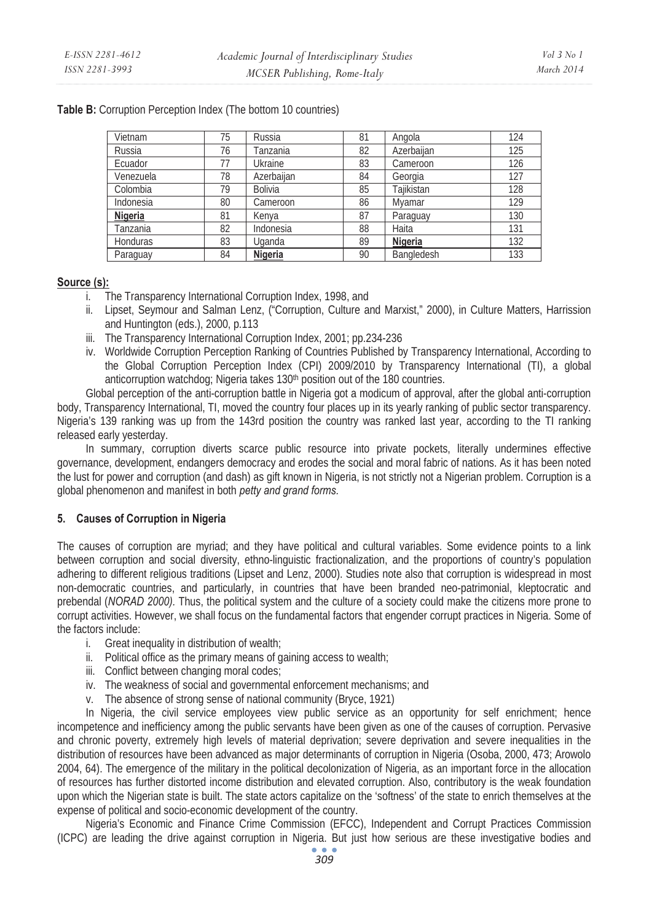| Vietnam   | 75 | Russia         | 81 | Angola     | 124 |
|-----------|----|----------------|----|------------|-----|
| Russia    | 76 | Tanzania       | 82 | Azerbaiian | 125 |
| Ecuador   | 77 | Ukraine        | 83 | Cameroon   | 126 |
| Venezuela | 78 | Azerbaiian     | 84 | Georgia    | 127 |
| Colombia  | 79 | <b>Bolivia</b> | 85 | Taiikistan | 128 |
| Indonesia | 80 | Cameroon       | 86 | Mvamar     | 129 |
| Nigeria   | 81 | Kenva          | 87 | Paraguay   | 130 |
| Tanzania  | 82 | Indonesia      | 88 | Haita      | 131 |
| Honduras  | 83 | Uganda         | 89 | Nigeria    | 132 |
| Paraguay  | 84 | Nigeria        | 90 | Bangledesh | 133 |

**Table B:** Corruption Perception Index (The bottom 10 countries)

#### **Source (s):**

- i. The Transparency International Corruption Index, 1998, and
- ii. Lipset, Seymour and Salman Lenz, ("Corruption, Culture and Marxist," 2000), in Culture Matters, Harrission and Huntington (eds.), 2000, p.113
- iii. The Transparency International Corruption Index, 2001; pp.234-236
- iv. Worldwide Corruption Perception Ranking of Countries Published by Transparency International, According to the Global Corruption Perception Index (CPI) 2009/2010 by Transparency International (TI), a global anticorruption watchdog; Nigeria takes 130<sup>th</sup> position out of the 180 countries.

Global perception of the anti-corruption battle in Nigeria got a modicum of approval, after the global anti-corruption body, Transparency International, TI, moved the country four places up in its yearly ranking of public sector transparency. Nigeria's 139 ranking was up from the 143rd position the country was ranked last year, according to the TI ranking released early yesterday.

In summary, corruption diverts scarce public resource into private pockets, literally undermines effective governance, development, endangers democracy and erodes the social and moral fabric of nations. As it has been noted the lust for power and corruption (and dash) as gift known in Nigeria, is not strictly not a Nigerian problem. Corruption is a global phenomenon and manifest in both *petty and grand forms.*

## **5. Causes of Corruption in Nigeria**

The causes of corruption are myriad; and they have political and cultural variables. Some evidence points to a link between corruption and social diversity, ethno-linguistic fractionalization, and the proportions of country's population adhering to different religious traditions (Lipset and Lenz, 2000). Studies note also that corruption is widespread in most non-democratic countries, and particularly, in countries that have been branded neo-patrimonial, kleptocratic and prebendal (*NORAD 2000).* Thus, the political system and the culture of a society could make the citizens more prone to corrupt activities. However, we shall focus on the fundamental factors that engender corrupt practices in Nigeria. Some of the factors include:

- i. Great inequality in distribution of wealth;
- ii. Political office as the primary means of gaining access to wealth;
- iii. Conflict between changing moral codes;
- iv. The weakness of social and governmental enforcement mechanisms; and
- v. The absence of strong sense of national community (Bryce, 1921)

In Nigeria, the civil service employees view public service as an opportunity for self enrichment; hence incompetence and inefficiency among the public servants have been given as one of the causes of corruption. Pervasive and chronic poverty, extremely high levels of material deprivation; severe deprivation and severe inequalities in the distribution of resources have been advanced as major determinants of corruption in Nigeria (Osoba, 2000, 473; Arowolo 2004, 64). The emergence of the military in the political decolonization of Nigeria, as an important force in the allocation of resources has further distorted income distribution and elevated corruption. Also, contributory is the weak foundation upon which the Nigerian state is built. The state actors capitalize on the 'softness' of the state to enrich themselves at the expense of political and socio-economic development of the country.

Nigeria's Economic and Finance Crime Commission (EFCC), Independent and Corrupt Practices Commission (ICPC) are leading the drive against corruption in Nigeria. But just how serious are these investigative bodies and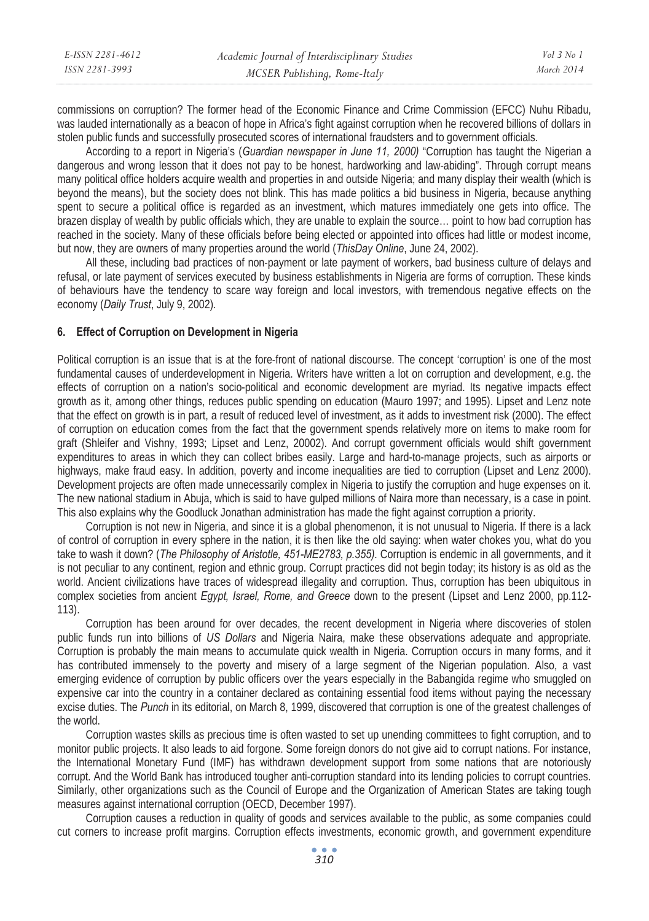| E-ISSN 2281-4612 | Academic Journal of Interdisciplinary Studies | Vol 3 No 1 |
|------------------|-----------------------------------------------|------------|
| ISSN 2281-3993   | MCSER Publishing, Rome-Italy                  | March 2014 |

commissions on corruption? The former head of the Economic Finance and Crime Commission (EFCC) Nuhu Ribadu, was lauded internationally as a beacon of hope in Africa's fight against corruption when he recovered billions of dollars in stolen public funds and successfully prosecuted scores of international fraudsters and to government officials.

According to a report in Nigeria's (*Guardian newspaper in June 11, 2000)* "Corruption has taught the Nigerian a dangerous and wrong lesson that it does not pay to be honest, hardworking and law-abiding". Through corrupt means many political office holders acquire wealth and properties in and outside Nigeria; and many display their wealth (which is beyond the means), but the society does not blink. This has made politics a bid business in Nigeria, because anything spent to secure a political office is regarded as an investment, which matures immediately one gets into office. The brazen display of wealth by public officials which, they are unable to explain the source… point to how bad corruption has reached in the society. Many of these officials before being elected or appointed into offices had little or modest income, but now, they are owners of many properties around the world (*ThisDay Online*, June 24, 2002).

All these, including bad practices of non-payment or late payment of workers, bad business culture of delays and refusal, or late payment of services executed by business establishments in Nigeria are forms of corruption. These kinds of behaviours have the tendency to scare way foreign and local investors, with tremendous negative effects on the economy (*Daily Trust*, July 9, 2002).

#### **6. Effect of Corruption on Development in Nigeria**

Political corruption is an issue that is at the fore-front of national discourse. The concept 'corruption' is one of the most fundamental causes of underdevelopment in Nigeria. Writers have written a lot on corruption and development, e.g. the effects of corruption on a nation's socio-political and economic development are myriad. Its negative impacts effect growth as it, among other things, reduces public spending on education (Mauro 1997; and 1995). Lipset and Lenz note that the effect on growth is in part, a result of reduced level of investment, as it adds to investment risk (2000). The effect of corruption on education comes from the fact that the government spends relatively more on items to make room for graft (Shleifer and Vishny, 1993; Lipset and Lenz, 20002). And corrupt government officials would shift government expenditures to areas in which they can collect bribes easily. Large and hard-to-manage projects, such as airports or highways, make fraud easy. In addition, poverty and income inequalities are tied to corruption (Lipset and Lenz 2000). Development projects are often made unnecessarily complex in Nigeria to justify the corruption and huge expenses on it. The new national stadium in Abuja, which is said to have gulped millions of Naira more than necessary, is a case in point. This also explains why the Goodluck Jonathan administration has made the fight against corruption a priority.

Corruption is not new in Nigeria, and since it is a global phenomenon, it is not unusual to Nigeria. If there is a lack of control of corruption in every sphere in the nation, it is then like the old saying: when water chokes you, what do you take to wash it down? (*The Philosophy of Aristotle, 451-ME2783, p.355).* Corruption is endemic in all governments, and it is not peculiar to any continent, region and ethnic group. Corrupt practices did not begin today; its history is as old as the world. Ancient civilizations have traces of widespread illegality and corruption. Thus, corruption has been ubiquitous in complex societies from ancient *Egypt, Israel, Rome, and Greece* down to the present (Lipset and Lenz 2000, pp.112- 113).

Corruption has been around for over decades, the recent development in Nigeria where discoveries of stolen public funds run into billions of *US Dollars* and Nigeria Naira, make these observations adequate and appropriate. Corruption is probably the main means to accumulate quick wealth in Nigeria. Corruption occurs in many forms, and it has contributed immensely to the poverty and misery of a large segment of the Nigerian population. Also, a vast emerging evidence of corruption by public officers over the years especially in the Babangida regime who smuggled on expensive car into the country in a container declared as containing essential food items without paying the necessary excise duties. The *Punch* in its editorial, on March 8, 1999, discovered that corruption is one of the greatest challenges of the world.

Corruption wastes skills as precious time is often wasted to set up unending committees to fight corruption, and to monitor public projects. It also leads to aid forgone. Some foreign donors do not give aid to corrupt nations. For instance, the International Monetary Fund (IMF) has withdrawn development support from some nations that are notoriously corrupt. And the World Bank has introduced tougher anti-corruption standard into its lending policies to corrupt countries. Similarly, other organizations such as the Council of Europe and the Organization of American States are taking tough measures against international corruption (OECD, December 1997).

Corruption causes a reduction in quality of goods and services available to the public, as some companies could cut corners to increase profit margins. Corruption effects investments, economic growth, and government expenditure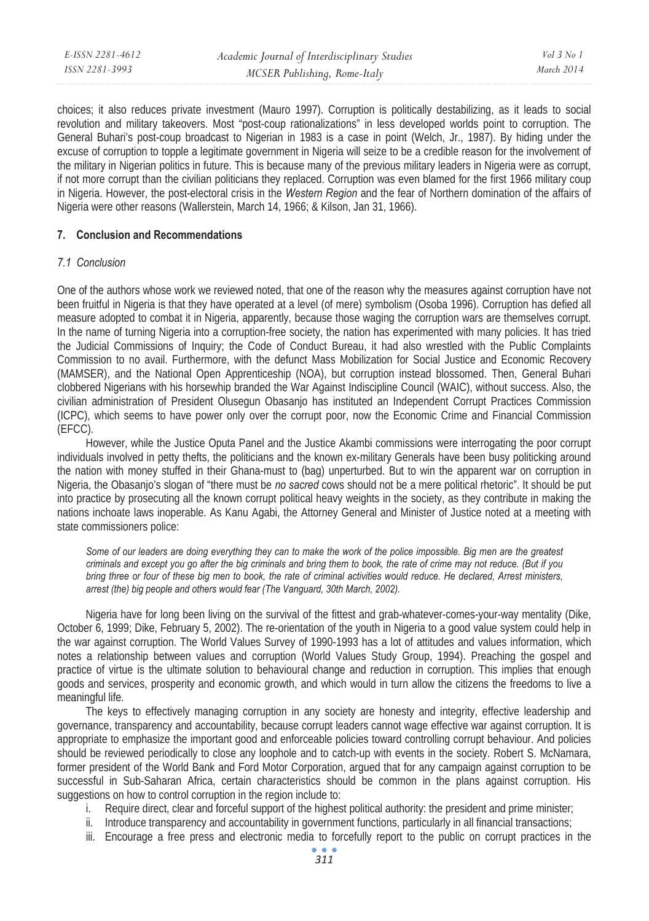| E-ISSN 2281-4612 | Academic Journal of Interdisciplinary Studies | Vol 3 No 1 |
|------------------|-----------------------------------------------|------------|
| ISSN 2281-3993   | MCSER Publishing, Rome-Italy                  | March 2014 |

choices; it also reduces private investment (Mauro 1997). Corruption is politically destabilizing, as it leads to social revolution and military takeovers. Most "post-coup rationalizations" in less developed worlds point to corruption. The General Buhari's post-coup broadcast to Nigerian in 1983 is a case in point (Welch, Jr., 1987). By hiding under the excuse of corruption to topple a legitimate government in Nigeria will seize to be a credible reason for the involvement of the military in Nigerian politics in future. This is because many of the previous military leaders in Nigeria were as corrupt, if not more corrupt than the civilian politicians they replaced. Corruption was even blamed for the first 1966 military coup in Nigeria. However, the post-electoral crisis in the *Western Region* and the fear of Northern domination of the affairs of Nigeria were other reasons (Wallerstein, March 14, 1966; & Kilson, Jan 31, 1966).

## **7. Conclusion and Recommendations**

#### *7.1 Conclusion*

One of the authors whose work we reviewed noted, that one of the reason why the measures against corruption have not been fruitful in Nigeria is that they have operated at a level (of mere) symbolism (Osoba 1996). Corruption has defied all measure adopted to combat it in Nigeria, apparently, because those waging the corruption wars are themselves corrupt. In the name of turning Nigeria into a corruption-free society, the nation has experimented with many policies. It has tried the Judicial Commissions of Inquiry; the Code of Conduct Bureau, it had also wrestled with the Public Complaints Commission to no avail. Furthermore, with the defunct Mass Mobilization for Social Justice and Economic Recovery (MAMSER), and the National Open Apprenticeship (NOA), but corruption instead blossomed. Then, General Buhari clobbered Nigerians with his horsewhip branded the War Against Indiscipline Council (WAIC), without success. Also, the civilian administration of President Olusegun Obasanjo has instituted an Independent Corrupt Practices Commission (ICPC), which seems to have power only over the corrupt poor, now the Economic Crime and Financial Commission (EFCC).

However, while the Justice Oputa Panel and the Justice Akambi commissions were interrogating the poor corrupt individuals involved in petty thefts, the politicians and the known ex-military Generals have been busy politicking around the nation with money stuffed in their Ghana-must to (bag) unperturbed. But to win the apparent war on corruption in Nigeria, the Obasanjo's slogan of "there must be *no sacred* cows should not be a mere political rhetoric". It should be put into practice by prosecuting all the known corrupt political heavy weights in the society, as they contribute in making the nations inchoate laws inoperable. As Kanu Agabi, the Attorney General and Minister of Justice noted at a meeting with state commissioners police:

*Some of our leaders are doing everything they can to make the work of the police impossible. Big men are the greatest criminals and except you go after the big criminals and bring them to book, the rate of crime may not reduce. (But if you bring three or four of these big men to book, the rate of criminal activities would reduce. He declared, Arrest ministers, arrest (the) big people and others would fear (The Vanguard, 30th March, 2002).* 

Nigeria have for long been living on the survival of the fittest and grab-whatever-comes-your-way mentality (Dike, October 6, 1999; Dike, February 5, 2002). The re-orientation of the youth in Nigeria to a good value system could help in the war against corruption. The World Values Survey of 1990-1993 has a lot of attitudes and values information, which notes a relationship between values and corruption (World Values Study Group, 1994). Preaching the gospel and practice of virtue is the ultimate solution to behavioural change and reduction in corruption. This implies that enough goods and services, prosperity and economic growth, and which would in turn allow the citizens the freedoms to live a meaningful life.

The keys to effectively managing corruption in any society are honesty and integrity, effective leadership and governance, transparency and accountability, because corrupt leaders cannot wage effective war against corruption. It is appropriate to emphasize the important good and enforceable policies toward controlling corrupt behaviour. And policies should be reviewed periodically to close any loophole and to catch-up with events in the society. Robert S. McNamara, former president of the World Bank and Ford Motor Corporation, argued that for any campaign against corruption to be successful in Sub-Saharan Africa, certain characteristics should be common in the plans against corruption. His suggestions on how to control corruption in the region include to:

- i. Require direct, clear and forceful support of the highest political authority: the president and prime minister;
- ii. Introduce transparency and accountability in government functions, particularly in all financial transactions;
- iii. Encourage a free press and electronic media to forcefully report to the public on corrupt practices in the  $\bullet$   $\bullet$   $\bullet$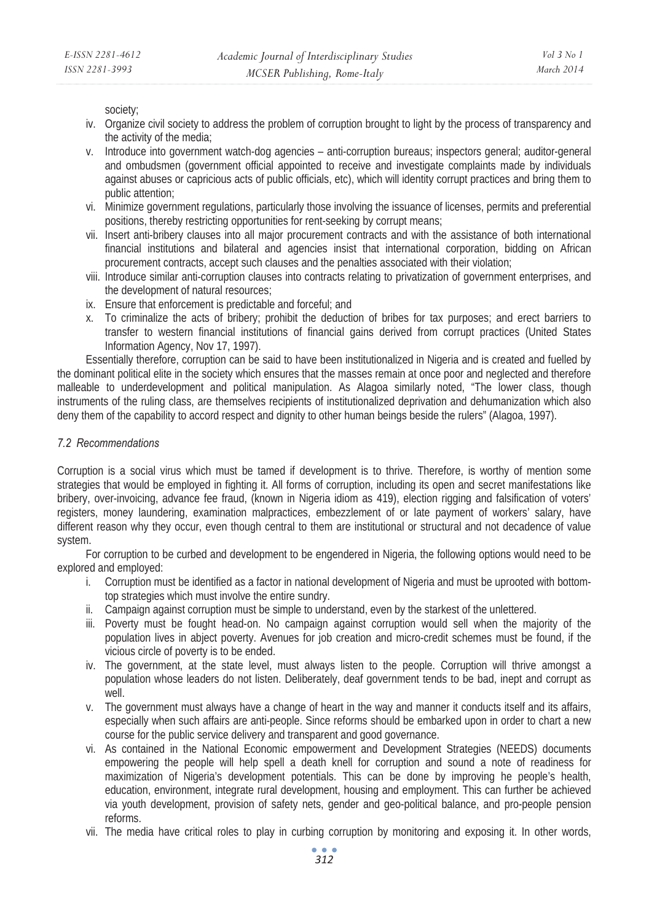society;

- iv. Organize civil society to address the problem of corruption brought to light by the process of transparency and the activity of the media;
- v. Introduce into government watch-dog agencies anti-corruption bureaus; inspectors general; auditor-general and ombudsmen (government official appointed to receive and investigate complaints made by individuals against abuses or capricious acts of public officials, etc), which will identity corrupt practices and bring them to public attention;
- vi. Minimize government regulations, particularly those involving the issuance of licenses, permits and preferential positions, thereby restricting opportunities for rent-seeking by corrupt means;
- vii. Insert anti-bribery clauses into all major procurement contracts and with the assistance of both international financial institutions and bilateral and agencies insist that international corporation, bidding on African procurement contracts, accept such clauses and the penalties associated with their violation;
- viii. Introduce similar anti-corruption clauses into contracts relating to privatization of government enterprises, and the development of natural resources;
- ix. Ensure that enforcement is predictable and forceful; and
- x. To criminalize the acts of bribery; prohibit the deduction of bribes for tax purposes; and erect barriers to transfer to western financial institutions of financial gains derived from corrupt practices (United States Information Agency, Nov 17, 1997).

Essentially therefore, corruption can be said to have been institutionalized in Nigeria and is created and fuelled by the dominant political elite in the society which ensures that the masses remain at once poor and neglected and therefore malleable to underdevelopment and political manipulation. As Alagoa similarly noted, "The lower class, though instruments of the ruling class, are themselves recipients of institutionalized deprivation and dehumanization which also deny them of the capability to accord respect and dignity to other human beings beside the rulers" (Alagoa, 1997).

## *7.2 Recommendations*

Corruption is a social virus which must be tamed if development is to thrive. Therefore, is worthy of mention some strategies that would be employed in fighting it. All forms of corruption, including its open and secret manifestations like bribery, over-invoicing, advance fee fraud, (known in Nigeria idiom as 419), election rigging and falsification of voters' registers, money laundering, examination malpractices, embezzlement of or late payment of workers' salary, have different reason why they occur, even though central to them are institutional or structural and not decadence of value system.

For corruption to be curbed and development to be engendered in Nigeria, the following options would need to be explored and employed:

- i. Corruption must be identified as a factor in national development of Nigeria and must be uprooted with bottomtop strategies which must involve the entire sundry.
- ii. Campaign against corruption must be simple to understand, even by the starkest of the unlettered.
- iii. Poverty must be fought head-on. No campaign against corruption would sell when the majority of the population lives in abject poverty. Avenues for job creation and micro-credit schemes must be found, if the vicious circle of poverty is to be ended.
- iv. The government, at the state level, must always listen to the people. Corruption will thrive amongst a population whose leaders do not listen. Deliberately, deaf government tends to be bad, inept and corrupt as well.
- v. The government must always have a change of heart in the way and manner it conducts itself and its affairs, especially when such affairs are anti-people. Since reforms should be embarked upon in order to chart a new course for the public service delivery and transparent and good governance.
- vi. As contained in the National Economic empowerment and Development Strategies (NEEDS) documents empowering the people will help spell a death knell for corruption and sound a note of readiness for maximization of Nigeria's development potentials. This can be done by improving he people's health, education, environment, integrate rural development, housing and employment. This can further be achieved via youth development, provision of safety nets, gender and geo-political balance, and pro-people pension reforms.
- vii. The media have critical roles to play in curbing corruption by monitoring and exposing it. In other words,